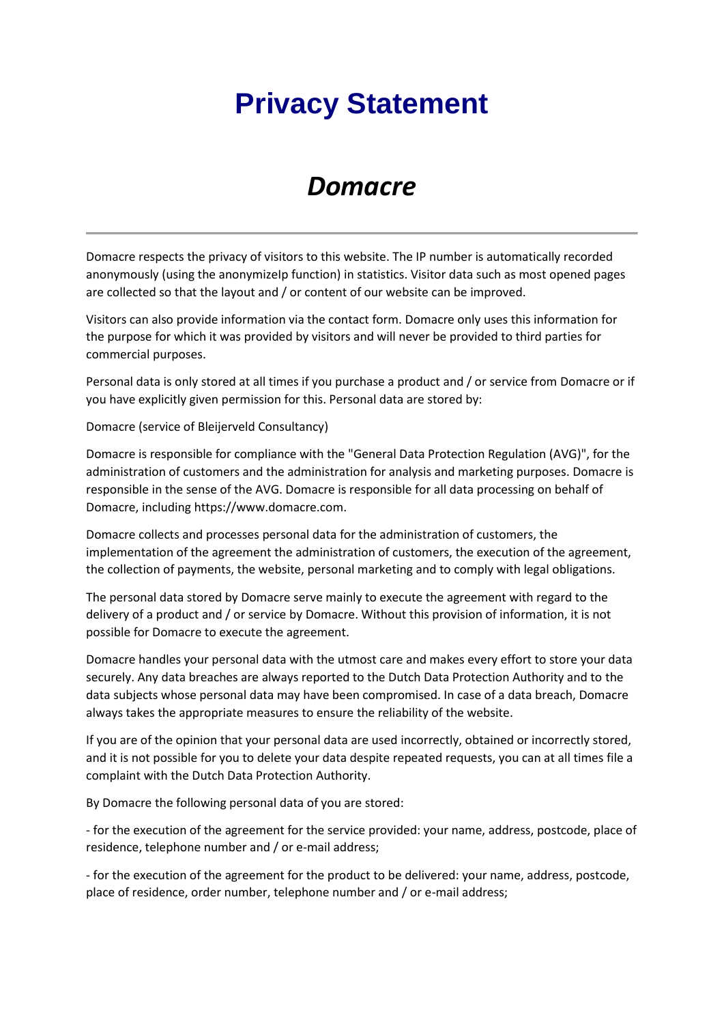## **Privacy Statement**

## *Domacre*

Domacre respects the privacy of visitors to this website. The IP number is automatically recorded anonymously (using the anonymizeIp function) in statistics. Visitor data such as most opened pages are collected so that the layout and / or content of our website can be improved.

Visitors can also provide information via the contact form. Domacre only uses this information for the purpose for which it was provided by visitors and will never be provided to third parties for commercial purposes.

Personal data is only stored at all times if you purchase a product and / or service from Domacre or if you have explicitly given permission for this. Personal data are stored by:

Domacre (service of Bleijerveld Consultancy)

Domacre is responsible for compliance with the "General Data Protection Regulation (AVG)", for the administration of customers and the administration for analysis and marketing purposes. Domacre is responsible in the sense of the AVG. Domacre is responsible for all data processing on behalf of Domacre, including https://www.domacre.com.

Domacre collects and processes personal data for the administration of customers, the implementation of the agreement the administration of customers, the execution of the agreement, the collection of payments, the website, personal marketing and to comply with legal obligations.

The personal data stored by Domacre serve mainly to execute the agreement with regard to the delivery of a product and / or service by Domacre. Without this provision of information, it is not possible for Domacre to execute the agreement.

Domacre handles your personal data with the utmost care and makes every effort to store your data securely. Any data breaches are always reported to the Dutch Data Protection Authority and to the data subjects whose personal data may have been compromised. In case of a data breach, Domacre always takes the appropriate measures to ensure the reliability of the website.

If you are of the opinion that your personal data are used incorrectly, obtained or incorrectly stored, and it is not possible for you to delete your data despite repeated requests, you can at all times file a complaint with the Dutch Data Protection Authority.

By Domacre the following personal data of you are stored:

- for the execution of the agreement for the service provided: your name, address, postcode, place of residence, telephone number and / or e-mail address;

- for the execution of the agreement for the product to be delivered: your name, address, postcode, place of residence, order number, telephone number and / or e-mail address;